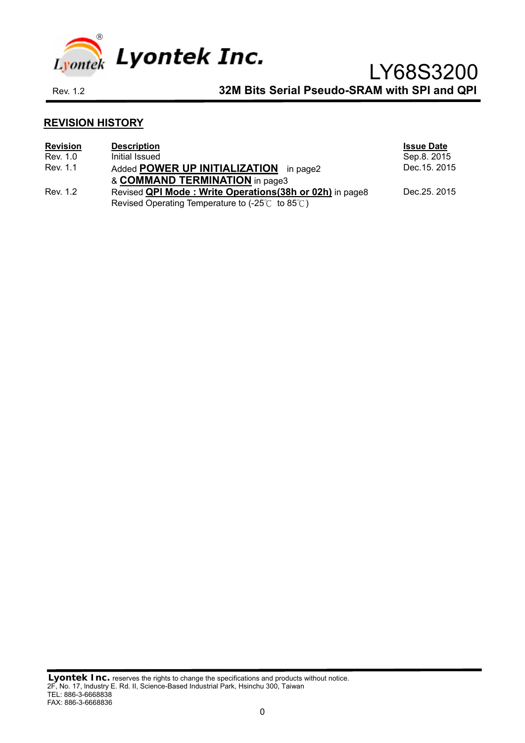

# **REVISION HISTORY**

| <b>Revision</b> | <b>Description</b>                                                                 | <b>Issue Date</b> |
|-----------------|------------------------------------------------------------------------------------|-------------------|
| Rev. 1.0        | Initial Issued                                                                     | Sep.8. 2015       |
| Rev. 1.1        | Added <b>POWER UP INITIALIZATION</b> in page2                                      | Dec. 15. 2015     |
|                 | & COMMAND TERMINATION in page3                                                     |                   |
| Rev. 1.2        | Revised <b>QPI Mode: Write Operations (38h or 02h)</b> in page8                    | Dec. 25, 2015     |
|                 | Revised Operating Temperature to $(-25^{\circ}\text{C})$ to $85^{\circ}\text{C}$ ) |                   |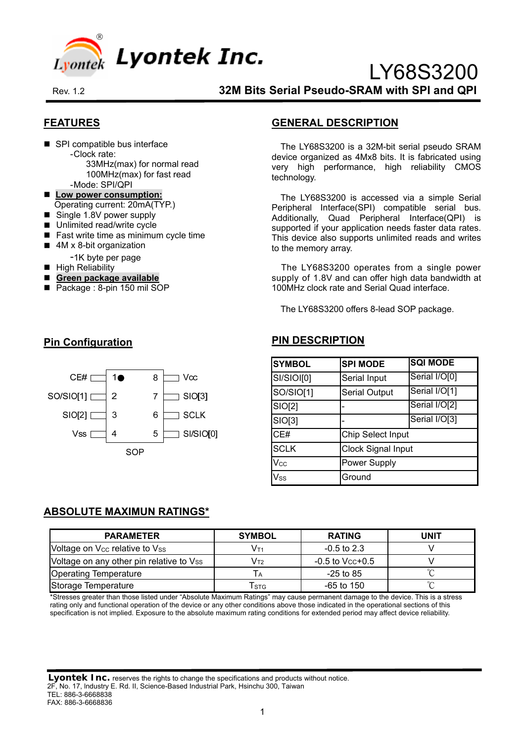

# **FEATURES**

■ SPI compatible bus interface - Clock rate:

33MHz(max) for normal read 100MHz(max) for fast read

- Mode: SPI/QPI
- Low power consumption: Operating current: 20mA(TYP.)
- Single 1.8V power supply
- Unlimited read/write cycle
- Fast write time as minimum cycle time
- 4M x 8-bit organization
	- -1K byte per page
- $\blacksquare$  High Reliability
- **Green package available**
- Package : 8-pin 150 mil SOP

### **GENERAL DESCRIPTION**

The LY68S3200 is a 32M-bit serial pseudo SRAM device organized as 4Mx8 bits. It is fabricated using very high performance, high reliability CMOS technology.

LY68S3200

The LY68S3200 is accessed via a simple Serial Peripheral Interface(SPI) compatible serial bus. Additionally, Quad Peripheral Interface(QPI) is supported if your application needs faster data rates. This device also supports unlimited reads and writes to the memory array.

The LY68S3200 operates from a single power supply of 1.8V and can offer high data bandwidth at 100MHz clock rate and Serial Quad interface.

The LY68S3200 offers 8-lead SOP package.

### **PIN DESCRIPTION**

| <b>SYMBOL</b> | <b>SPI MODE</b>           | <b>SQI MODE</b> |  |  |
|---------------|---------------------------|-----------------|--|--|
| SI/SIOI[0]    | Serial Input              | Serial I/O[0]   |  |  |
| SO/SIO[1]     | <b>Serial Output</b>      | Serial I/O[1]   |  |  |
| SIO[2]        |                           | Serial I/O[2]   |  |  |
| SIO[3]        |                           | Serial I/O[3]   |  |  |
| CE#           | Chip Select Input         |                 |  |  |
| <b>SCLK</b>   | <b>Clock Signal Input</b> |                 |  |  |
| Vcc           | Power Supply              |                 |  |  |
| $V_{SS}$      | Ground                    |                 |  |  |

### **Pin Configuration**



### **ABSOLUTE MAXIMUN RATINGS\***

| <b>PARAMETER</b>                           | <b>SYMBOL</b> | <b>RATING</b>     | UNIT |
|--------------------------------------------|---------------|-------------------|------|
| Voltage on V <sub>cc</sub> relative to Vss | Vт1           | $-0.5$ to 2.3     |      |
| Voltage on any other pin relative to Vss   | Vт2           | $-0.5$ to Vcc+0.5 |      |
| <b>Operating Temperature</b>               |               | $-25$ to 85       |      |
| Storage Temperature                        | Tsтg          | -65 to 150        |      |

\*Stresses greater than those listed under "Absolute Maximum Ratings" may cause permanent damage to the device. This is a stress rating only and functional operation of the device or any other conditions above those indicated in the operational sections of this specification is not implied. Exposure to the absolute maximum rating conditions for extended period may affect device reliability.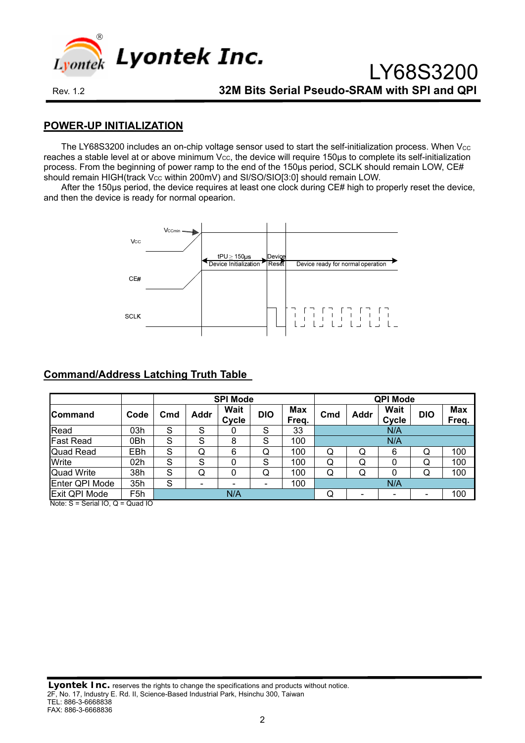

LY68S3200

### **POWER-UP INITIALIZATION**

The LY68S3200 includes an on-chip voltage sensor used to start the self-initialization process. When Vcc reaches a stable level at or above minimum  $V_{CC}$ , the device will require 150 $\mu$ s to complete its self-initialization process. From the beginning of power ramp to the end of the 150µs period, SCLK should remain LOW, CE# should remain HIGH(track V<sub>cc</sub> within 200mV) and SI/SO/SIO[3:0] should remain LOW.

After the 150µs period, the device requires at least one clock during CE# high to properly reset the device, and then the device is ready for normal opearion.



# **Command/Address Latching Truth Table**

|                               |      |     |                          | <b>SPI Mode</b>      |            |                     |                 |             | <b>QPI Mode</b>      |            |                     |
|-------------------------------|------|-----|--------------------------|----------------------|------------|---------------------|-----------------|-------------|----------------------|------------|---------------------|
| lCommand                      | Code | Cmd | Addr                     | <b>Wait</b><br>Cycle | <b>DIO</b> | <b>Max</b><br>Freq. | C <sub>md</sub> | <b>Addr</b> | <b>Wait</b><br>Cycle | <b>DIO</b> | <b>Max</b><br>Freq. |
| Read                          | 03h  | S   | S                        | 0                    | S          | 33                  |                 |             | N/A                  |            |                     |
| <b>Fast Read</b>              | 0Bh  | S   | S                        | 8                    | S          | 100                 |                 |             | N/A                  |            |                     |
| <b>Quad Read</b>              | EBh  | S   | Q                        | 6                    | Q          | 100                 | Q               | Q           | 6                    | Q          | 100                 |
| Write                         | 02h  | S   | S                        | 0                    | S          | 100                 | Q               | Q           | 0                    | Q          | 100                 |
| <b>Quad Write</b>             | 38h  | S   | Q                        | 0                    | Q          | 100                 | Q               | Q           | 0                    | Q          | 100                 |
| Enter QPI Mode                | 35h  | S   | $\overline{\phantom{0}}$ | $\blacksquare$       |            | 100                 |                 |             | N/A                  |            |                     |
| Exit QPI Mode<br>$Nots C - C$ | F5h  |     |                          | N/A                  |            |                     | 100<br>Q<br>۰   |             |                      |            |                     |

Note: S = Serial IO, Q = Quad IO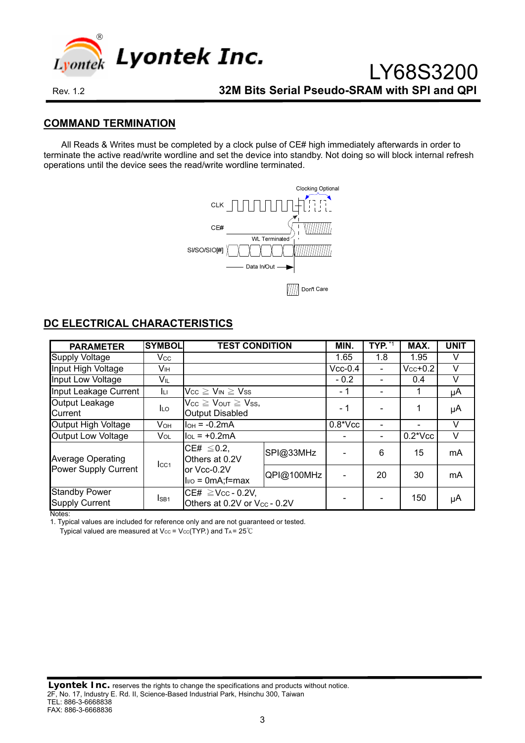

### **COMMAND TERMINATION**

All Reads & Writes must be completed by a clock pulse of CE# high immediately afterwards in order to terminate the active read/write wordline and set the device into standby. Not doing so will block internal refresh operations until the device sees the read/write wordline terminated.



| <b>PARAMETER</b>                                                     | <b>SYMBOL</b>    | <b>TEST CONDITION</b>                                              |           | MIN.       | TYP. | MAX.          | <b>UNIT</b> |
|----------------------------------------------------------------------|------------------|--------------------------------------------------------------------|-----------|------------|------|---------------|-------------|
| <b>Supply Voltage</b>                                                | Vcc.             |                                                                    |           | 1.65       | 1.8  | 1.95          | V           |
| Input High Voltage                                                   | Vıн              |                                                                    |           | $Vcc-0.4$  |      | $V_{CC}$ +0.2 | v           |
| Input Low Voltage                                                    | VĩL              |                                                                    |           | $-0.2$     |      | 0.4           | V           |
| Input Leakage Current                                                | Iц               | $V_{CC} \geq V_{IN} \geq V_{SS}$                                   |           | - 1        |      |               | μA          |
| Output Leakage<br>Current                                            | <b>ILO</b>       | $V_{CC} \geq V_{OUT} \geq V_{SS}$<br><b>Output Disabled</b>        |           | - 1        |      | 1             | μA          |
| Output High Voltage                                                  | <b>V</b> он      | $I_{OH} = -0.2mA$                                                  |           | $0.8*$ Vcc |      |               | v           |
| <b>Output Low Voltage</b>                                            | Vol              | $I_{OL}$ = +0.2mA                                                  |           |            |      | $0.2*Vec$     | V           |
| <b>Average Operating</b>                                             | $_{\text{LCA}}$  | CE# $\leq$ 0.2,<br>Others at 0.2V                                  | SPI@33MHz |            | 6    | 15            | mA          |
| Power Supply Current<br>or Vcc-0.2V<br>$I_{\text{IVO}} = 0$ mA;f=max |                  | QPI@100MHz                                                         |           | 20         | 30   | mA            |             |
| <b>Standby Power</b><br><b>Supply Current</b>                        | I <sub>SB1</sub> | CE# $\geq$ Vcc - 0.2V,<br>Others at 0.2V or V <sub>cc</sub> - 0.2V |           |            |      | 150           | μA          |

# **DC ELECTRICAL CHARACTERISTICS**

Notes:

1. Typical values are included for reference only and are not guaranteed or tested.

Typical valued are measured at  $V_{CC}$  =  $V_{CC}$ (TYP.) and TA = 25℃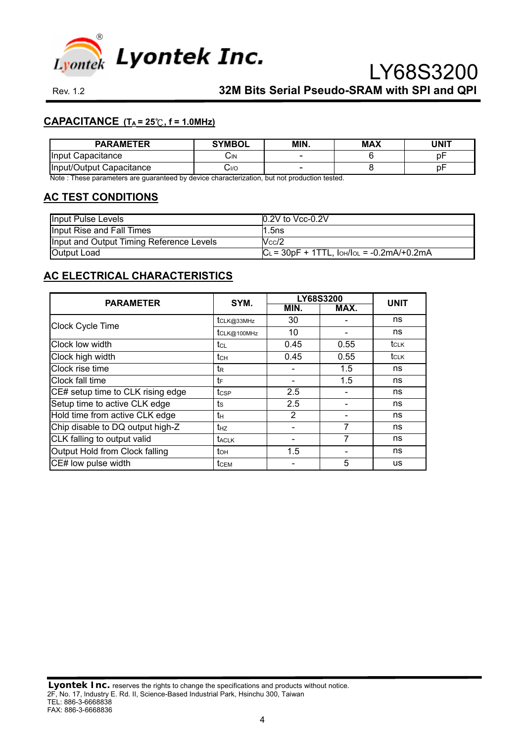

# **CAPACITANCE (TA = 25**℃**, f = 1.0MHz)**

| <b>PARAMETER</b>         | <b>SYMBOL</b> | MIN. | <b>MAX</b> | <b>JNIT</b> |
|--------------------------|---------------|------|------------|-------------|
| llnput.<br>Capacitance   | اآب           |      |            | bŀ          |
| Input/Output Capacitance | 0/اب          |      |            | bŀ          |

Note : These parameters are guaranteed by device characterization, but not production tested.

### **AC TEST CONDITIONS**

| <b>Input Pulse Levels</b>                | $10.2V$ to Vcc-0.2V                                    |
|------------------------------------------|--------------------------------------------------------|
| Input Rise and Fall Times                | 1.5ns                                                  |
| Input and Output Timing Reference Levels | $V_{\rm CC}/2$                                         |
| Output Load                              | $ C_L = 30pF + 1TTL$ , $I_{OH}/I_{OL} = -0.2mA/+0.2mA$ |

# **AC ELECTRICAL CHARACTERISTICS**

| <b>PARAMETER</b>                  | SYM.            |                | LY68S3200 | <b>UNIT</b> |
|-----------------------------------|-----------------|----------------|-----------|-------------|
|                                   |                 | MIN.           | MAX.      |             |
| <b>Clock Cycle Time</b>           | tCLK@33MHz      | 30             |           | ns          |
|                                   | tclk@100MHz     | 10             |           | ns          |
| Clock low width                   | tcL             | 0.45           | 0.55      | tc∟k        |
| Clock high width                  | tсн             | 0.45           | 0.55      | $t_{CLK}$   |
| Clock rise time                   | t <sub>R</sub>  |                | 1.5       | ns          |
| Clock fall time                   | tF              |                | 1.5       | ns          |
| CE# setup time to CLK rising edge | tcse            | 2.5            |           | ns          |
| Setup time to active CLK edge     | ts              | 2.5            |           | ns          |
| Hold time from active CLK edge    | tн              | $\overline{2}$ |           | ns          |
| Chip disable to DQ output high-Z  | t <sub>HZ</sub> |                |           | ns          |
| CLK falling to output valid       | taclk           |                |           | ns          |
| Output Hold from Clock falling    | tон             | 1.5            |           | ns          |
| CE# low pulse width               | tcem            |                | 5         | <b>us</b>   |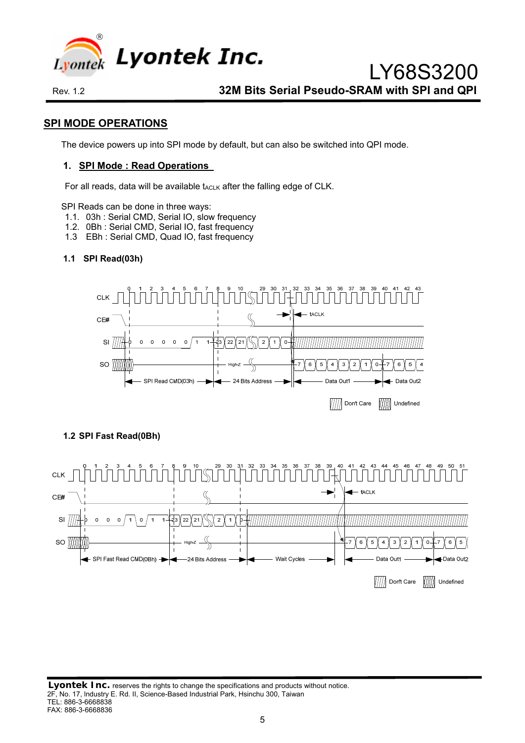

### **SPI MODE OPERATIONS**

The device powers up into SPI mode by default, but can also be switched into QPI mode.

#### **1. SPI Mode : Read Operations**

For all reads, data will be available tACLK after the falling edge of CLK.

SPI Reads can be done in three ways:

- 1.1. 03h : Serial CMD, Serial IO, slow frequency
- 1.2. 0Bh : Serial CMD, Serial IO, fast frequency
- 1.3 EBh : Serial CMD, Quad IO, fast frequency

### **1.1 SPI Read(03h)**



### **1.2 SPI Fast Read(0Bh)**

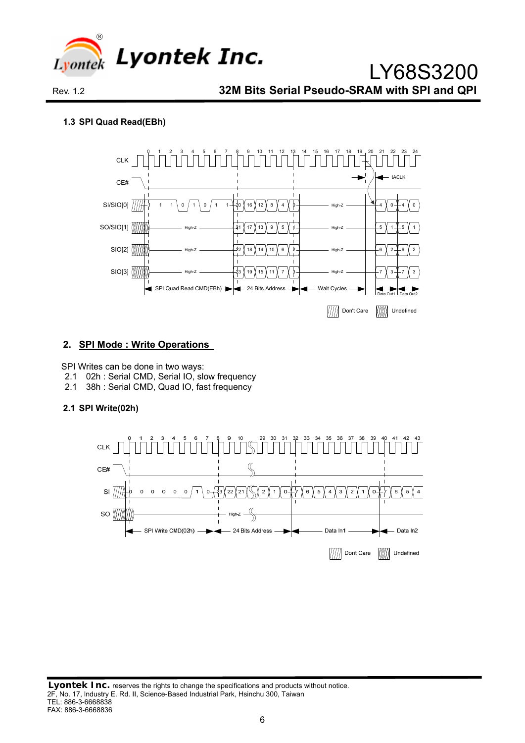

#### **1.3 SPI Quad Read(EBh)**



#### **2. SPI Mode : Write Operations**

SPI Writes can be done in two ways:

- 2.1 02h : Serial CMD, Serial IO, slow frequency
- 2.1 38h : Serial CMD, Quad IO, fast frequency

#### **2.1 SPI Write(02h)**

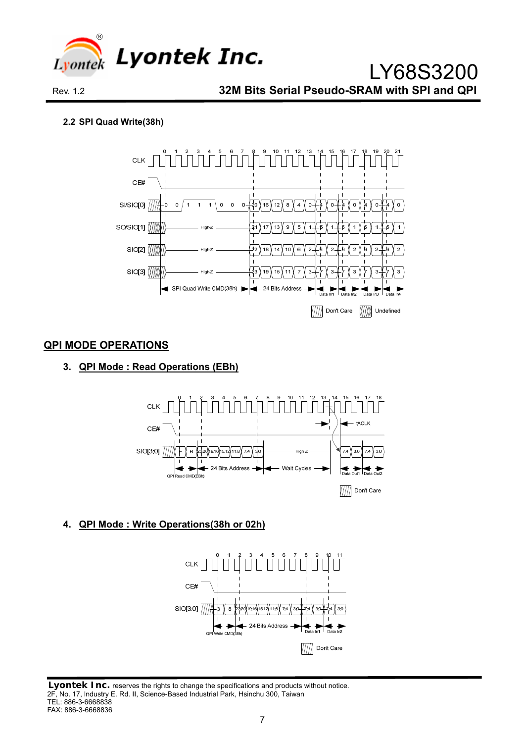

#### **2.2 SPI Quad Write(38h)**



### **QPI MODE OPERATIONS**

### **3. QPI Mode : Read Operations (EBh)**



# **4. QPI Mode : Write Operations(38h or 02h)**



#### **Lyontek Inc.** reserves the rights to change the specifications and products without notice. 2F, No. 17, lndustry E. Rd. II, Science-Based Industrial Park, Hsinchu 300, Taiwan TEL: 886-3-6668838 FAX: 886-3-6668836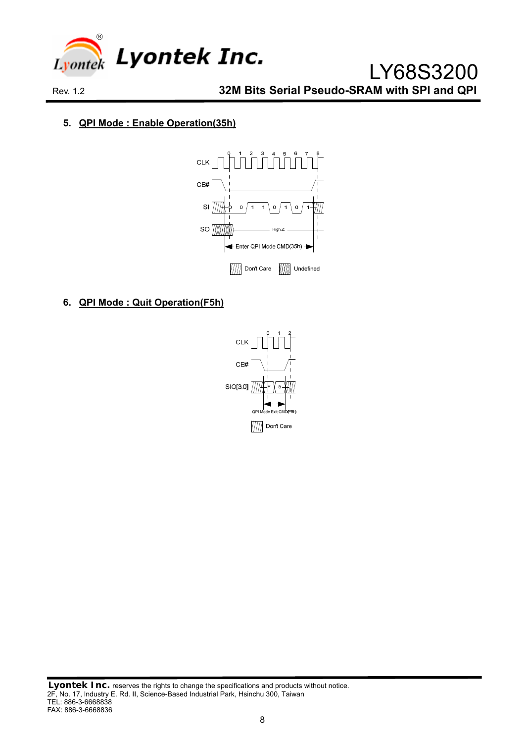

### **5. QPI Mode : Enable Operation(35h)**



### **6. QPI Mode : Quit Operation(F5h)**

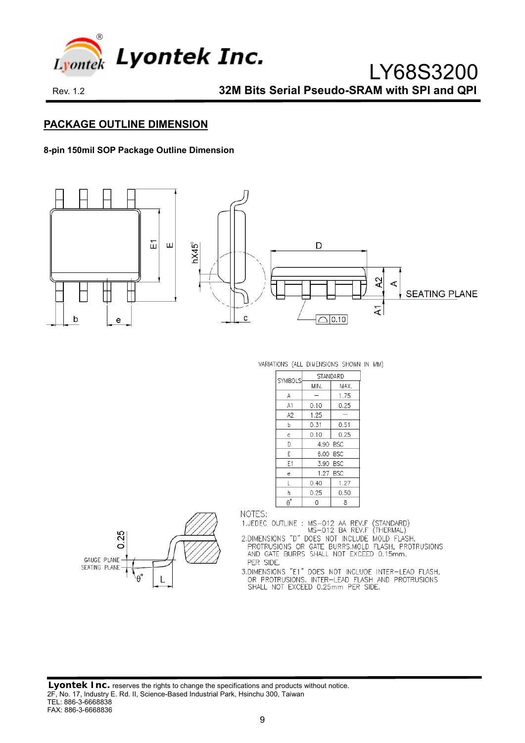

### **PACKAGE OUTLINE DIMENSION**

#### **8-pin 150mil SOP Package Outline Dimension**



VARIATIONS (ALL DIMENSIONS SHOWN IN MM)

| <b>SYMBOLS</b>                | STANDARD |          |  |
|-------------------------------|----------|----------|--|
|                               | MIN.     | MAX.     |  |
| A                             |          | 1.75     |  |
| A1                            | 0.10     | 0.25     |  |
| A2                            | 1.25     |          |  |
| b                             | 0.31     | 0.51     |  |
| c                             | 0.10     | 0.25     |  |
| D                             | 4.90 BSC |          |  |
| E                             |          | 6.00 BSC |  |
| E1                            |          | 3.90 BSC |  |
| e                             |          | 1.27 BSC |  |
| L                             | 0.40     | 1.27     |  |
| h                             | 0.25     | 0.50     |  |
| $\boldsymbol{\theta}^{\circ}$ | 0        | 8        |  |



NOTES:

1.JEDEC OUTLINE : MS-012 AA REV.F (STANDARD)<br>MS-012 BA REV.F (THERMAL)

MS-UTZ BA REV.F (THERMAL)<br>2.DIMENSIONS "D" DOES NOT INCLUDE MOLD FLASH,<br>PROTRUSIONS OR GATE BURRS.MOLD FLASH, PROTRUSIONS<br>AND GATE BURRS SHALL NOT EXCEED 0.15mm. PER SIDE.

.....<br>J.DIMENSIONS "E1" DOES NOT INCLUDE INTER-LEAD FLASH,<br>OR PROTRUSIONS. INTER-LEAD FLASH AND PROTRUSIONS<br>SHALL NOT EXCEED 0.25mm PER SIDE.

**Lyontek Inc.** reserves the rights to change the specifications and products without notice. 2F, No. 17, lndustry E. Rd. II, Science-Based Industrial Park, Hsinchu 300, Taiwan TEL: 886-3-6668838 FAX: 886-3-6668836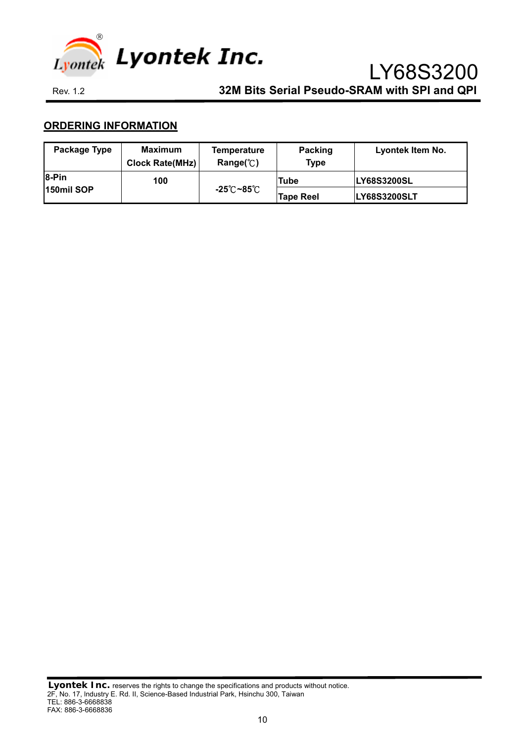

# **ORDERING INFORMATION**

| Package Type      | <b>Maximum</b><br><b>Clock Rate(MHz)</b> | <b>Temperature</b><br>Range( $^{\circ}$ C) | Packing<br><b>Type</b> | Lyontek Item No.    |
|-------------------|------------------------------------------|--------------------------------------------|------------------------|---------------------|
| <b>8-Pin</b>      | 100                                      |                                            | Tube                   | <b>LY68S3200SL</b>  |
| <b>150mil SOP</b> |                                          | -25 $^\circ$ C ~85 $^\circ$ C              | <b>Tape Reel</b>       | <b>LY68S3200SLT</b> |